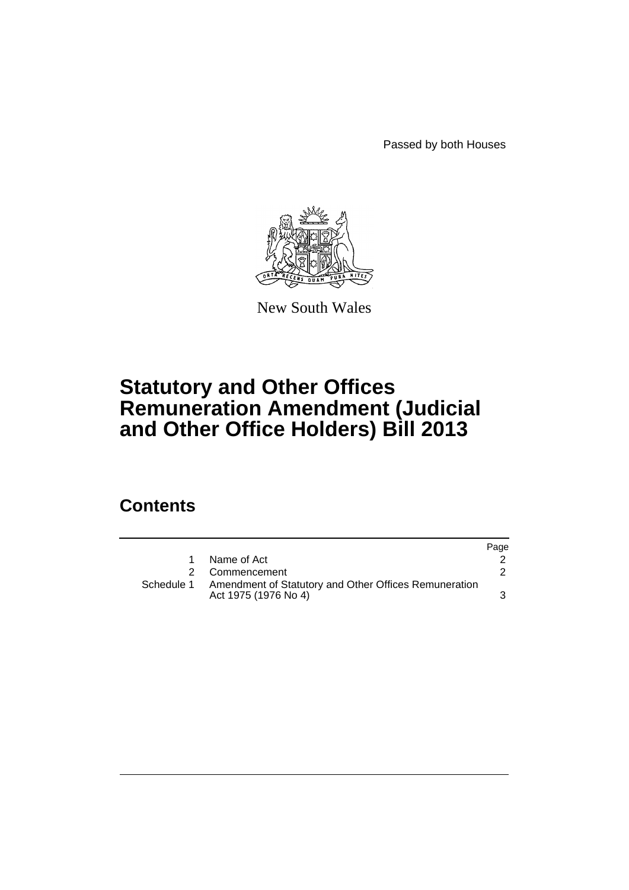Passed by both Houses



New South Wales

# **Statutory and Other Offices Remuneration Amendment (Judicial and Other Office Holders) Bill 2013**

# **Contents**

|            |                                                                               | Page |
|------------|-------------------------------------------------------------------------------|------|
| 1.         | Name of Act                                                                   |      |
| 2          | Commencement                                                                  |      |
| Schedule 1 | Amendment of Statutory and Other Offices Remuneration<br>Act 1975 (1976 No 4) |      |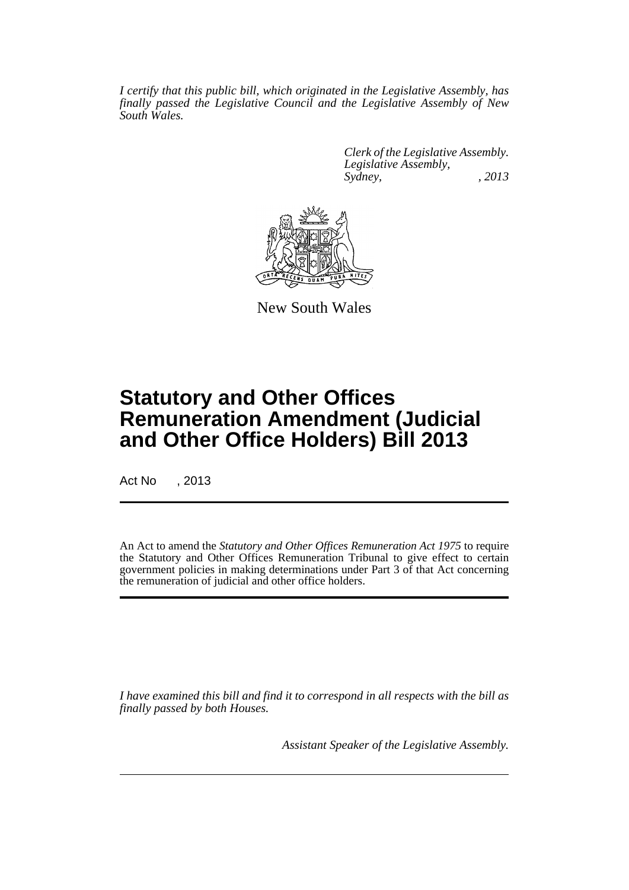*I certify that this public bill, which originated in the Legislative Assembly, has finally passed the Legislative Council and the Legislative Assembly of New South Wales.*

> *Clerk of the Legislative Assembly. Legislative Assembly, Sydney, , 2013*



New South Wales

# **Statutory and Other Offices Remuneration Amendment (Judicial and Other Office Holders) Bill 2013**

Act No , 2013

An Act to amend the *Statutory and Other Offices Remuneration Act 1975* to require the Statutory and Other Offices Remuneration Tribunal to give effect to certain government policies in making determinations under Part 3 of that Act concerning the remuneration of judicial and other office holders.

*I have examined this bill and find it to correspond in all respects with the bill as finally passed by both Houses.*

*Assistant Speaker of the Legislative Assembly.*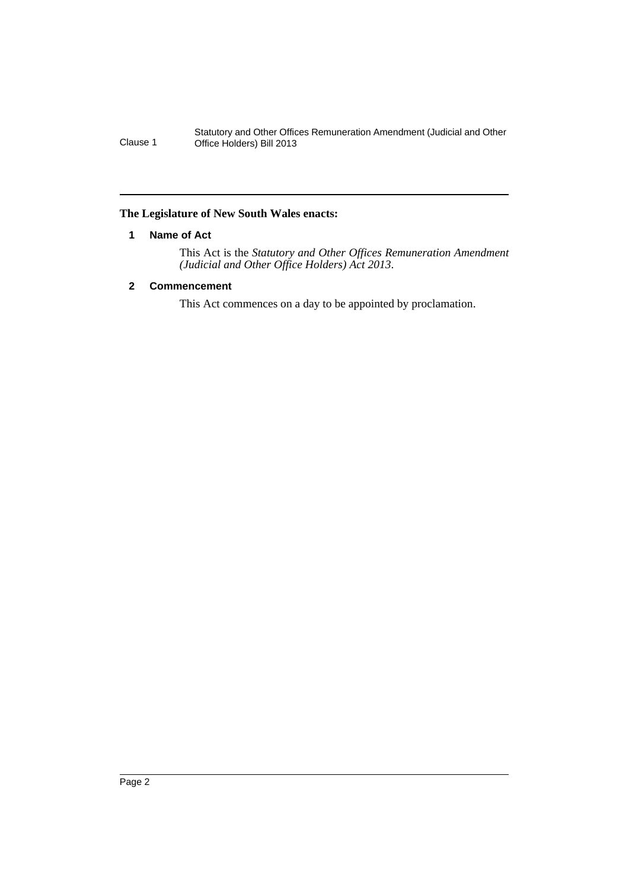Statutory and Other Offices Remuneration Amendment (Judicial and Other Clause 1 Office Holders) Bill 2013

## <span id="page-3-0"></span>**The Legislature of New South Wales enacts:**

### **1 Name of Act**

This Act is the *Statutory and Other Offices Remuneration Amendment (Judicial and Other Office Holders) Act 2013*.

# <span id="page-3-1"></span>**2 Commencement**

This Act commences on a day to be appointed by proclamation.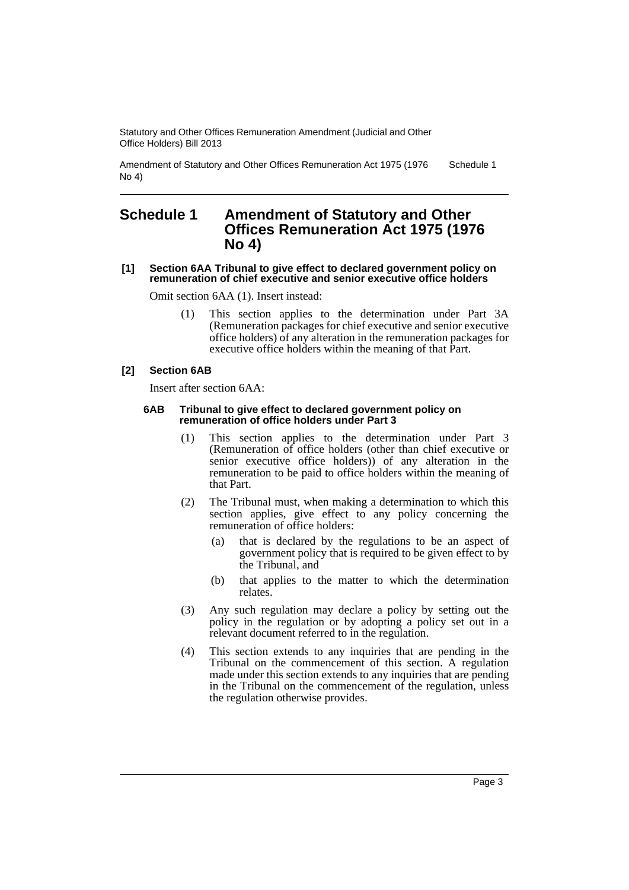Statutory and Other Offices Remuneration Amendment (Judicial and Other Office Holders) Bill 2013

Amendment of Statutory and Other Offices Remuneration Act 1975 (1976 No 4) Schedule 1

# <span id="page-4-0"></span>**Schedule 1 Amendment of Statutory and Other Offices Remuneration Act 1975 (1976 No 4)**

#### **[1] Section 6AA Tribunal to give effect to declared government policy on remuneration of chief executive and senior executive office holders**

Omit section 6AA (1). Insert instead:

(1) This section applies to the determination under Part 3A (Remuneration packages for chief executive and senior executive office holders) of any alteration in the remuneration packages for executive office holders within the meaning of that Part.

### **[2] Section 6AB**

Insert after section 6AA:

#### **6AB Tribunal to give effect to declared government policy on remuneration of office holders under Part 3**

- (1) This section applies to the determination under Part 3 (Remuneration of office holders (other than chief executive or senior executive office holders)) of any alteration in the remuneration to be paid to office holders within the meaning of that Part.
- (2) The Tribunal must, when making a determination to which this section applies, give effect to any policy concerning the remuneration of office holders:
	- (a) that is declared by the regulations to be an aspect of government policy that is required to be given effect to by the Tribunal, and
	- (b) that applies to the matter to which the determination relates.
- (3) Any such regulation may declare a policy by setting out the policy in the regulation or by adopting a policy set out in a relevant document referred to in the regulation.
- (4) This section extends to any inquiries that are pending in the Tribunal on the commencement of this section. A regulation made under this section extends to any inquiries that are pending in the Tribunal on the commencement of the regulation, unless the regulation otherwise provides.